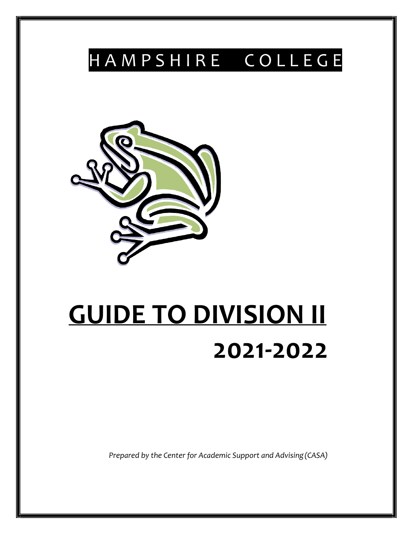# H A M P S H I R E C O L L E G E



# **GUIDE TO DIVISION II 2021-2022**

*Prepared by the Center for Academic Support and Advising(CASA)*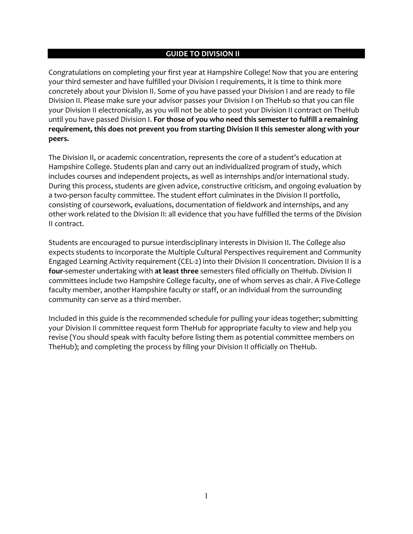#### **GUIDE TO DIVISION II**

Congratulations on completing your first year at Hampshire College! Now that you are entering your third semester and have fulfilled your Division I requirements, it is time to think more concretely about your Division II. Some of you have passed your Division I and are ready to file Division II. Please make sure your advisor passes your Division I on TheHub so that you can file your Division II electronically, as you will not be able to post your Division II contract on TheHub until you have passed Division I. **For those of you who need this semester to fulfill a remaining requirement, this does not prevent you from starting Division II this semester along with your peers.**

The Division II, or academic concentration, represents the core of a student's education at Hampshire College. Students plan and carry out an individualized program of study, which includes courses and independent projects, as well as internships and/or international study. During this process, students are given advice, constructive criticism, and ongoing evaluation by a two-person faculty committee. The student effort culminates in the Division II portfolio, consisting of coursework, evaluations, documentation of fieldwork and internships, and any other work related to the Division II: all evidence that you have fulfilled the terms of the Division II contract.

Students are encouraged to pursue interdisciplinary interests in Division II. The College also expects students to incorporate the Multiple Cultural Perspectives requirement and Community Engaged Learning Activity requirement (CEL-2) into their Division II concentration. Division II is a **four-**semester undertaking with **at least three** semesters filed officially on TheHub. Division II committees include two Hampshire College faculty, one of whom serves as chair. A Five-College faculty member, another Hampshire faculty or staff, or an individual from the surrounding community can serve as a third member.

Included in this guide is the recommended schedule for pulling your ideas together; submitting your Division II committee request form TheHub for appropriate faculty to view and help you revise (You should speak with faculty before listing them as potential committee members on TheHub); and completing the process by filing your Division II officially on TheHub.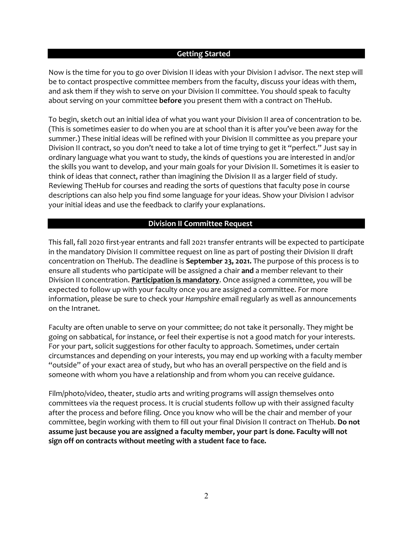#### **Getting Started**

Now is the time for you to go over Division II ideas with your Division I advisor. The next step will be to contact prospective committee members from the faculty, discuss your ideas with them, and ask them if they wish to serve on your Division II committee. You should speak to faculty about serving on your committee **before** you present them with a contract on TheHub.

To begin, sketch out an initial idea of what you want your Division II area of concentration to be. (This is sometimes easier to do when you are at school than it is after you've been away for the summer.) These initial ideas will be refined with your Division II committee as you prepare your Division II contract, so you don't need to take a lot of time trying to get it "perfect." Just say in ordinary language what you want to study, the kinds of questions you are interested in and/or the skills you want to develop, and your main goals for your Division II. Sometimes it is easier to think of ideas that connect, rather than imagining the Division II as a larger field of study. Reviewing TheHub for courses and reading the sorts of questions that faculty pose in course descriptions can also help you find some language for your ideas. Show your Division I advisor your initial ideas and use the feedback to clarify your explanations.

# **Division II Committee Request**

This fall, fall 2020 first-year entrants and fall 2021 transfer entrants will be expected to participate in the mandatory Division II committee request on line as part of posting their Division II draft concentration on TheHub. The deadline is **September 23, 2021.** The purpose of this process is to ensure all students who participate will be assigned a chair **and** a member relevant to their Division II concentration. **Participation is mandatory**. Once assigned a committee, you will be expected to follow up with your faculty once you are assigned a committee. For more information, please be sure to check your *Hampshire* email regularly as well as announcements on the Intranet.

Faculty are often unable to serve on your committee; do not take it personally. They might be going on sabbatical, for instance, or feel their expertise is not a good match for your interests. For your part, solicit suggestions for other faculty to approach. Sometimes, under certain circumstances and depending on your interests, you may end up working with a faculty member "outside" of your exact area of study, but who has an overall perspective on the field and is someone with whom you have a relationship and from whom you can receive guidance.

Film/photo/video, theater, studio arts and writing programs will assign themselves onto committees via the request process. It is crucial students follow up with their assigned faculty after the process and before filing. Once you know who will be the chair and member of your committee, begin working with them to fill out your final Division II contract on TheHub. **Do not assume just because you are assigned a faculty member, your part is done. Faculty will not sign off on contracts without meeting with a student face to face.**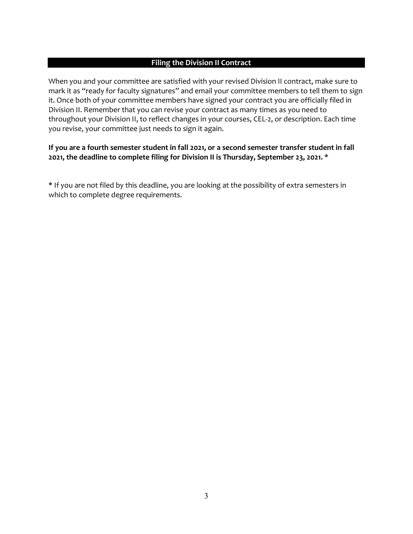# **Filing the Division II Contract**

When you and your committee are satisfied with your revised Division II contract, make sure to mark it as "ready for faculty signatures" and email your committee members to tell them to sign it. Once both of your committee members have signed your contract you are officially filed in Division II. Remember that you can revise your contract as many times as you need to throughout your Division II, to reflect changes in your courses, CEL-2, or description. Each time you revise, your committee just needs to sign it again.

# **If you are a fourth semester student in fall 2021, or a second semester transfer student in fall 2021, the deadline to complete filing for Division II is Thursday, September 23, 2021. \***

**\*** If you are not filed by this deadline, you are looking at the possibility of extra semesters in which to complete degree requirements.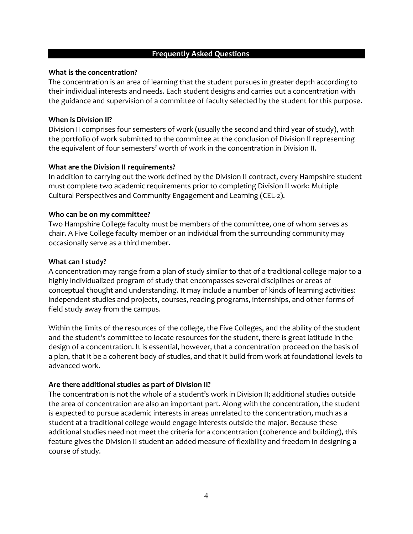#### **Frequently Asked Questions**

#### **What is the concentration?**

The concentration is an area of learning that the student pursues in greater depth according to their individual interests and needs. Each student designs and carries out a concentration with the guidance and supervision of a committee of faculty selected by the student for this purpose.

#### **When is Division II?**

Division II comprises four semesters of work (usually the second and third year of study), with the portfolio of work submitted to the committee at the conclusion of Division II representing the equivalent of four semesters' worth of work in the concentration in Division II.

#### **What are the Division II requirements?**

In addition to carrying out the work defined by the Division II contract, every Hampshire student must complete two academic requirements prior to completing Division II work: Multiple Cultural Perspectives and Community Engagement and Learning (CEL-2).

#### **Who can be on my committee?**

Two Hampshire College faculty must be members of the committee, one of whom serves as chair. A Five College faculty member or an individual from the surrounding community may occasionally serve as a third member.

#### **What can I study?**

A concentration may range from a plan of study similar to that of a traditional college major to a highly individualized program of study that encompasses several disciplines or areas of conceptual thought and understanding. It may include a number of kinds of learning activities: independent studies and projects, courses, reading programs, internships, and other forms of field study away from the campus.

Within the limits of the resources of the college, the Five Colleges, and the ability of the student and the student's committee to locate resources for the student, there is great latitude in the design of a concentration. It is essential, however, that a concentration proceed on the basis of a plan, that it be a coherent body of studies, and that it build from work at foundational levels to advanced work.

#### **Are there additional studies as part of Division II?**

The concentration is not the whole of a student's work in Division II; additional studies outside the area of concentration are also an important part. Along with the concentration, the student is expected to pursue academic interests in areas unrelated to the concentration, much as a student at a traditional college would engage interests outside the major. Because these additional studies need not meet the criteria for a concentration (coherence and building), this feature gives the Division II student an added measure of flexibility and freedom in designing a course of study.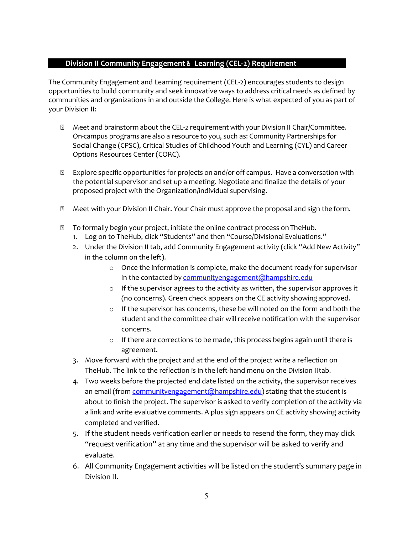# **Division II Community Engagement & Learning (CEL--**-**2) Requirement**

The Community Engagement and Learning requirement (CEL-2) encourages students to design opportunities to build community and seek innovative ways to address critical needs as defined by communities and organizations in and outside the College. Here is what expected of you as part of your Division II:

- <sup>2</sup> Meet and brainstorm about the CEL-2 requirement with your Division II Chair/Committee. On-campus programs are also a resource to you, such as: Community Partnerships for Social Change (CPSC), Critical Studies of Childhood Youth and Learning (CYL) and Career Options Resources Center (CORC).
- $\mathbb D$  Explore specific opportunities for projects on and/or off campus. Have a conversation with the potential supervisor and set up a meeting. Negotiate and finalize the details of your proposed project with the Organization/individual supervising.
- Meet with your Division II Chair. Your Chair must approve the proposal and sign the form.
- **To formally begin your project, initiate the online contract process on TheHub.** 
	- 1. Log on to TheHub, click "Students" and then "Course/Divisional Evaluations."
	- 2. Under the Division II tab, add Community Engagement activity (click "Add New Activity" in the column on the left).
		- o Once the information is complete, make the document ready for supervisor in the contacted by [communityengagement@hampshire.edu](mailto:communityengagement@hampshire.edu)
		- o If the supervisor agrees to the activity as written, the supervisor approves it (no concerns). Green check appears on the CE activity showingapproved.
		- o If the supervisor has concerns, these be will noted on the form and both the student and the committee chair will receive notification with the supervisor concerns.
		- o If there are corrections to be made, this process begins again until there is agreement.
	- 3. Move forward with the project and at the end of the project write a reflection on TheHub. The link to the reflection is in the left-hand menu on the Division IItab.
	- 4. Two weeks before the projected end date listed on the activity, the supervisor receives an email (from *communityengagement* (@hampshire.edu) stating that the student is about to finish the project. The supervisor is asked to verify completion of the activity via a link and write evaluative comments. A plus sign appears on CE activity showing activity completed and verified.
	- 5. If the student needs verification earlier or needs to resend the form, they may click "request verification" at any time and the supervisor will be asked to verify and evaluate.
	- 6. All Community Engagement activities will be listed on the student's summary page in Division II.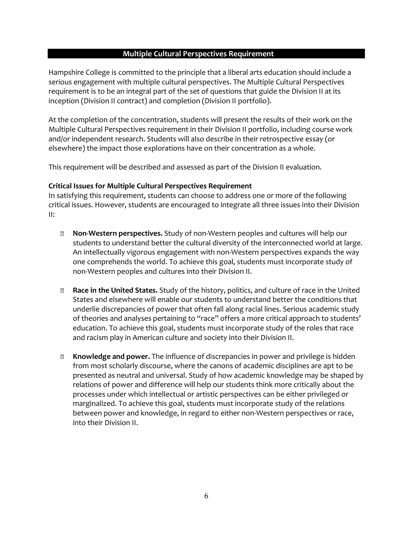#### **Multiple Cultural Perspectives Requirement**

Hampshire College is committed to the principle that a liberal arts education should include a serious engagement with multiple cultural perspectives. The Multiple Cultural Perspectives requirement is to be an integral part of the set of questions that guide the Division II at its inception (Division II contract) and completion (Division II portfolio).

At the completion of the concentration, students will present the results of their work on the Multiple Cultural Perspectives requirement in their Division II portfolio, including course work and/or independent research. Students will also describe in their retrospective essay (or elsewhere) the impact those explorations have on their concentration as a whole.

This requirement will be described and assessed as part of the Division II evaluation.

# **Critical Issues for Multiple Cultural Perspectives Requirement**

In satisfying this requirement, students can choose to address one or more of the following critical issues. However, students are encouraged to integrate all three issues into their Division II:

- **Non-Western perspectives.** Study of non-Western peoples and cultures will help our students to understand better the cultural diversity of the interconnected world at large. An intellectually vigorous engagement with non-Western perspectives expands the way one comprehends the world. To achieve this goal, students must incorporate study of non-Western peoples and cultures into their Division II.
- **Race in the United States.** Study of the history, politics, and culture of race in the United States and elsewhere will enable our students to understand better the conditions that underlie discrepancies of power that often fall along racial lines. Serious academic study of theories and analyses pertaining to "race" offers a more critical approach to students' education. To achieve this goal, students must incorporate study of the roles that race and racism play in American culture and society into their Division II.
- **Knowledge and power.** The influence of discrepancies in power and privilege is hidden from most scholarly discourse, where the canons of academic disciplines are apt to be presented as neutral and universal. Study of how academic knowledge may be shaped by relations of power and difference will help our students think more critically about the processes under which intellectual or artistic perspectives can be either privileged or marginalized. To achieve this goal, students must incorporate study of the relations between power and knowledge, in regard to either non-Western perspectives or race, into their Division II.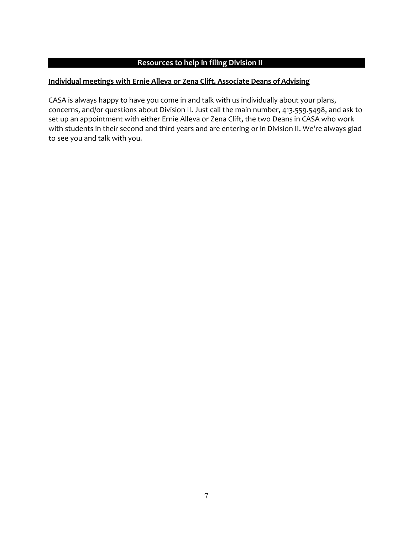# **Resources to help in filing Division II**

# **Individual meetings with Ernie Alleva or Zena Clift, Associate Deans ofAdvising**

CASA is always happy to have you come in and talk with us individually about your plans, concerns, and/or questions about Division II. Just call the main number, 413.559.5498, and ask to set up an appointment with either Ernie Alleva or Zena Clift, the two Deans in CASA who work with students in their second and third years and are entering or in Division II. We're always glad to see you and talk with you.